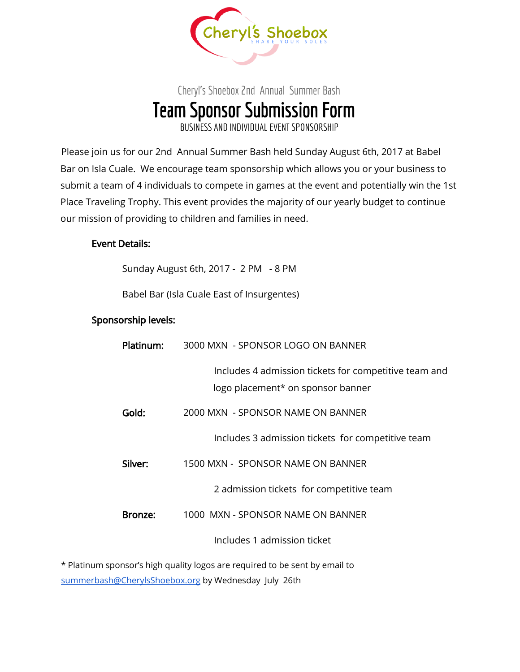

## Cheryl's Shoebox 2nd Annual Summer Bash Team Sponsor Submission Form BUSINESS AND INDIVIDUALEVENTSPONSORSHIP

Please join us for our 2nd Annual Summer Bash held Sunday August 6th, 2017 at Babel Bar on Isla Cuale. We encourage team sponsorship which allows you or your business to submit a team of 4 individuals to compete in games at the event and potentially win the 1st Place Traveling Trophy. This event provides the majority of our yearly budget to continue our mission of providing to children and families in need.

## Event Details:

Sunday August 6th, 2017 - 2 PM - 8 PM

Babel Bar (Isla Cuale East of Insurgentes)

## Sponsorship levels:

| Platinum: | 3000 MXN - SPONSOR LOGO ON BANNER                                                          |
|-----------|--------------------------------------------------------------------------------------------|
|           | Includes 4 admission tickets for competitive team and<br>logo placement* on sponsor banner |
| Gold:     | 2000 MXN - SPONSOR NAME ON BANNER                                                          |
|           | Includes 3 admission tickets for competitive team                                          |
| Silver:   | 1500 MXN - SPONSOR NAME ON BANNER                                                          |
|           | 2 admission tickets for competitive team                                                   |
| Bronze:   | 1000 MXN - SPONSOR NAME ON BANNER                                                          |
|           | Includes 1 admission ticket                                                                |
|           |                                                                                            |

\* Platinum sponsor's high quality logos are required to be sent by email to [summerbash@CherylsShoebox.org](mailto:summerbash@cherylsshoebox.org) by Wednesday July 26th